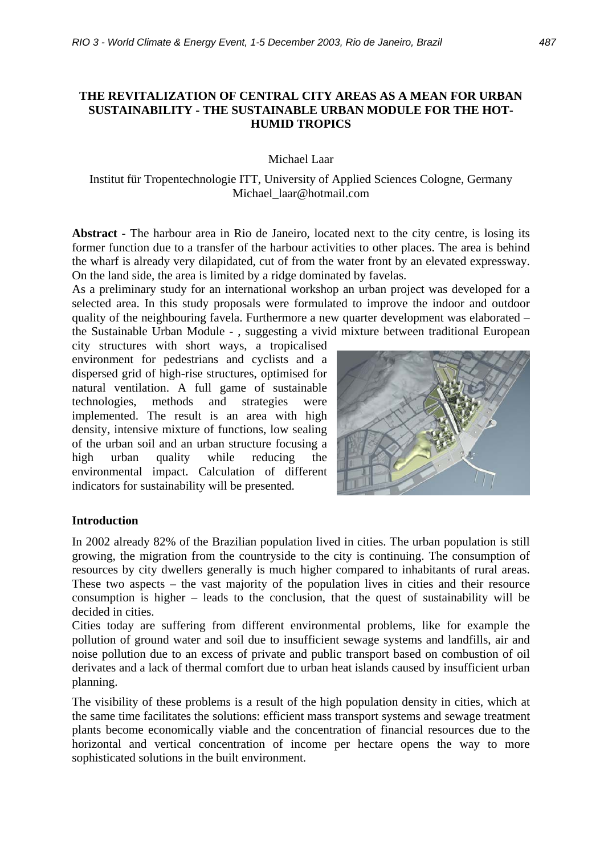### **THE REVITALIZATION OF CENTRAL CITY AREAS AS A MEAN FOR URBAN SUSTAINABILITY - THE SUSTAINABLE URBAN MODULE FOR THE HOT-HUMID TROPICS**

Michael Laar

Institut für Tropentechnologie ITT, University of Applied Sciences Cologne, Germany Michael\_laar@hotmail.com

**Abstract -** The harbour area in Rio de Janeiro, located next to the city centre, is losing its former function due to a transfer of the harbour activities to other places. The area is behind the wharf is already very dilapidated, cut of from the water front by an elevated expressway. On the land side, the area is limited by a ridge dominated by favelas.

As a preliminary study for an international workshop an urban project was developed for a selected area. In this study proposals were formulated to improve the indoor and outdoor quality of the neighbouring favela. Furthermore a new quarter development was elaborated – the Sustainable Urban Module - , suggesting a vivid mixture between traditional European

city structures with short ways, a tropicalised environment for pedestrians and cyclists and a dispersed grid of high-rise structures, optimised for natural ventilation. A full game of sustainable technologies, methods and strategies were implemented. The result is an area with high density, intensive mixture of functions, low sealing of the urban soil and an urban structure focusing a high urban quality while reducing the environmental impact. Calculation of different indicators for sustainability will be presented.



### **Introduction**

In 2002 already 82% of the Brazilian population lived in cities. The urban population is still growing, the migration from the countryside to the city is continuing. The consumption of resources by city dwellers generally is much higher compared to inhabitants of rural areas. These two aspects – the vast majority of the population lives in cities and their resource consumption is higher – leads to the conclusion, that the quest of sustainability will be decided in cities.

Cities today are suffering from different environmental problems, like for example the pollution of ground water and soil due to insufficient sewage systems and landfills, air and noise pollution due to an excess of private and public transport based on combustion of oil derivates and a lack of thermal comfort due to urban heat islands caused by insufficient urban planning.

The visibility of these problems is a result of the high population density in cities, which at the same time facilitates the solutions: efficient mass transport systems and sewage treatment plants become economically viable and the concentration of financial resources due to the horizontal and vertical concentration of income per hectare opens the way to more sophisticated solutions in the built environment.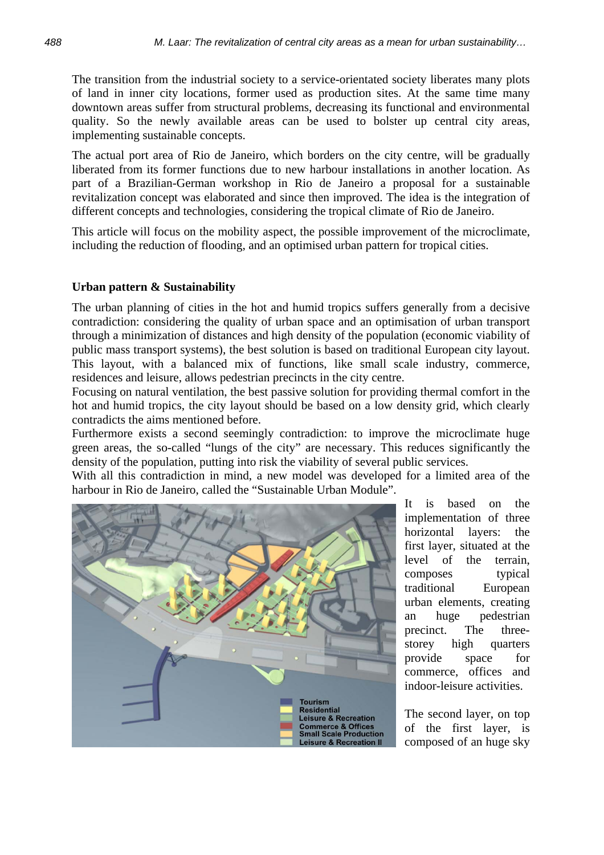The transition from the industrial society to a service-orientated society liberates many plots of land in inner city locations, former used as production sites. At the same time many downtown areas suffer from structural problems, decreasing its functional and environmental quality. So the newly available areas can be used to bolster up central city areas, implementing sustainable concepts.

The actual port area of Rio de Janeiro, which borders on the city centre, will be gradually liberated from its former functions due to new harbour installations in another location. As part of a Brazilian-German workshop in Rio de Janeiro a proposal for a sustainable revitalization concept was elaborated and since then improved. The idea is the integration of different concepts and technologies, considering the tropical climate of Rio de Janeiro.

This article will focus on the mobility aspect, the possible improvement of the microclimate, including the reduction of flooding, and an optimised urban pattern for tropical cities.

### **Urban pattern & Sustainability**

The urban planning of cities in the hot and humid tropics suffers generally from a decisive contradiction: considering the quality of urban space and an optimisation of urban transport through a minimization of distances and high density of the population (economic viability of public mass transport systems), the best solution is based on traditional European city layout. This layout, with a balanced mix of functions, like small scale industry, commerce, residences and leisure, allows pedestrian precincts in the city centre.

Focusing on natural ventilation, the best passive solution for providing thermal comfort in the hot and humid tropics, the city layout should be based on a low density grid, which clearly contradicts the aims mentioned before.

Furthermore exists a second seemingly contradiction: to improve the microclimate huge green areas, the so-called "lungs of the city" are necessary. This reduces significantly the density of the population, putting into risk the viability of several public services.

With all this contradiction in mind, a new model was developed for a limited area of the harbour in Rio de Janeiro, called the "Sustainable Urban Module".



It is based on the implementation of three horizontal layers: the first layer, situated at the level of the terrain, composes typical traditional European urban elements, creating an huge pedestrian precinct. The threestorey high quarters provide space for commerce, offices and indoor-leisure activities.

The second layer, on top of the first layer, is composed of an huge sky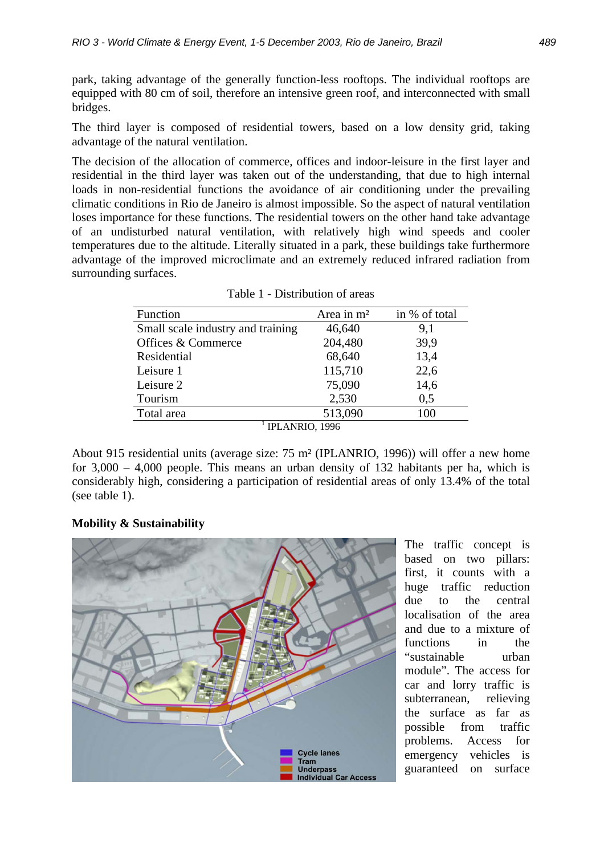park, taking advantage of the generally function-less rooftops. The individual rooftops are equipped with 80 cm of soil, therefore an intensive green roof, and interconnected with small bridges.

The third layer is composed of residential towers, based on a low density grid, taking advantage of the natural ventilation.

The decision of the allocation of commerce, offices and indoor-leisure in the first layer and residential in the third layer was taken out of the understanding, that due to high internal loads in non-residential functions the avoidance of air conditioning under the prevailing climatic conditions in Rio de Janeiro is almost impossible. So the aspect of natural ventilation loses importance for these functions. The residential towers on the other hand take advantage of an undisturbed natural ventilation, with relatively high wind speeds and cooler temperatures due to the altitude. Literally situated in a park, these buildings take furthermore advantage of the improved microclimate and an extremely reduced infrared radiation from surrounding surfaces.

| Function                          | Area in $m2$ | in % of total |  |  |  |  |  |
|-----------------------------------|--------------|---------------|--|--|--|--|--|
| Small scale industry and training | 46,640       | 9,1           |  |  |  |  |  |
| Offices & Commerce                | 204,480      | 39,9          |  |  |  |  |  |
| Residential                       | 68,640       | 13,4          |  |  |  |  |  |
| Leisure 1                         | 115,710      | 22,6          |  |  |  |  |  |
| Leisure 2                         | 75,090       | 14,6          |  |  |  |  |  |
| Tourism                           | 2,530        | 0,5           |  |  |  |  |  |
| Total area                        | 513,090      | 100           |  |  |  |  |  |
| IPLANRIO, 1996                    |              |               |  |  |  |  |  |

Table 1 - Distribution of areas

About 915 residential units (average size: 75 m² (IPLANRIO, 1996)) will offer a new home for 3,000 – 4,000 people. This means an urban density of 132 habitants per ha, which is considerably high, considering a participation of residential areas of only 13.4% of the total (see table 1).

## **Mobility & Sustainability**



The traffic concept is based on two pillars: first, it counts with a huge traffic reduction due to the central localisation of the area and due to a mixture of functions in the "sustainable urban module". The access for car and lorry traffic is subterranean, relieving the surface as far as possible from traffic problems. Access for emergency vehicles is guaranteed on surface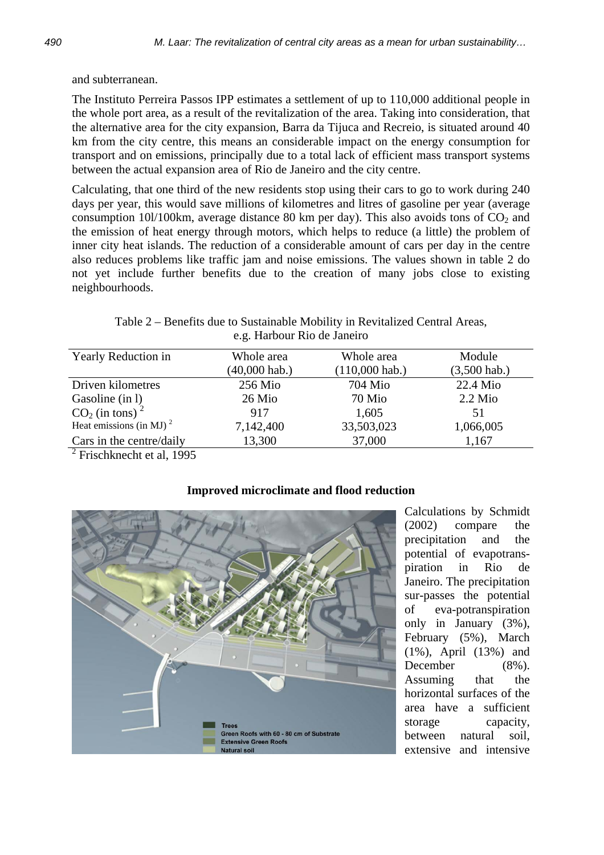and subterranean.

The Instituto Perreira Passos IPP estimates a settlement of up to 110,000 additional people in the whole port area, as a result of the revitalization of the area. Taking into consideration, that the alternative area for the city expansion, Barra da Tijuca and Recreio, is situated around 40 km from the city centre, this means an considerable impact on the energy consumption for transport and on emissions, principally due to a total lack of efficient mass transport systems between the actual expansion area of Rio de Janeiro and the city centre.

Calculating, that one third of the new residents stop using their cars to go to work during 240 days per year, this would save millions of kilometres and litres of gasoline per year (average consumption 10l/100km, average distance 80 km per day). This also avoids tons of  $CO<sub>2</sub>$  and the emission of heat energy through motors, which helps to reduce (a little) the problem of inner city heat islands. The reduction of a considerable amount of cars per day in the centre also reduces problems like traffic jam and noise emissions. The values shown in table 2 do not yet include further benefits due to the creation of many jobs close to existing neighbourhoods.

Table 2 – Benefits due to Sustainable Mobility in Revitalized Central Areas, e.g. Harbour Rio de Janeiro

| Yearly Reduction in              | Whole area      | Whole area       | Module         |  |  |
|----------------------------------|-----------------|------------------|----------------|--|--|
|                                  | $(40,000$ hab.) | $(110,000$ hab.) | $(3,500$ hab.) |  |  |
| Driven kilometres                | $256$ Mio       | 704 Mio          | 22.4 Mio       |  |  |
| Gasoline (in 1)                  | 26 Mio          | 70 Mio           | $2.2$ Mio      |  |  |
| $CO2$ (in tons) <sup>2</sup>     | 917             | 1,605            | 51             |  |  |
| Heat emissions (in MJ) $^2$      | 7,142,400       | 33,503,023       | 1,066,005      |  |  |
| Cars in the centre/daily         | 13,300          | 37,000           | 1,167          |  |  |
| $^{2}$ Ericohlznocht of al. 1005 |                 |                  |                |  |  |

Frischknecht et al, 1995



# **Improved microclimate and flood reduction**

Calculations by Schmidt (2002) compare the precipitation and the potential of evapotranspiration in Rio de Janeiro. The precipitation sur-passes the potential of eva-potranspiration only in January (3%), February (5%), March (1%), April (13%) and December (8%). Assuming that the horizontal surfaces of the area have a sufficient storage capacity, between natural soil, extensive and intensive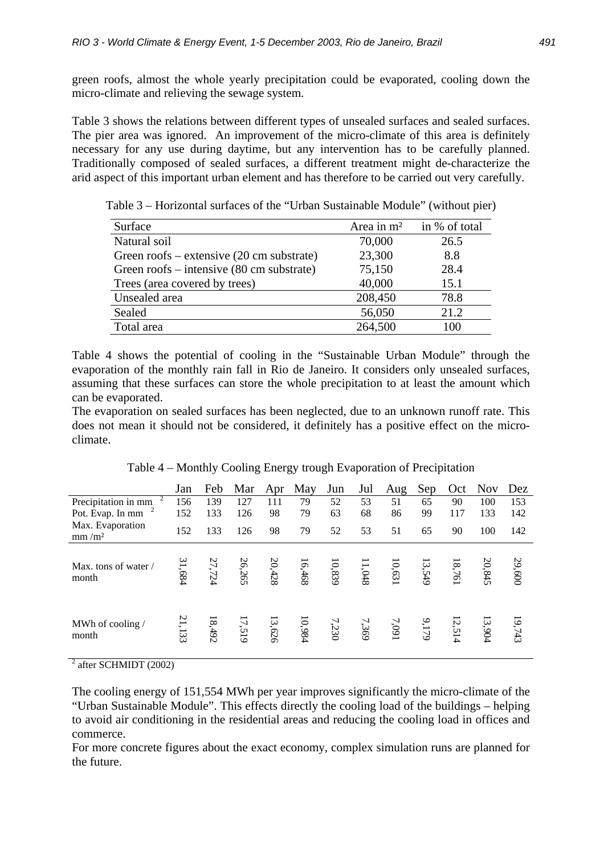green roofs, almost the whole yearly precipitation could be evaporated, cooling down the micro-climate and relieving the sewage system.

Table 3 shows the relations between different types of unsealed surfaces and sealed surfaces. The pier area was ignored. An improvement of the micro-climate of this area is definitely necessary for any use during daytime, but any intervention has to be carefully planned. Traditionally composed of sealed surfaces, a different treatment might de-characterize the arid aspect of this important urban element and has therefore to be carried out very carefully.

| Surface                                             | Area in m <sup>2</sup> | in % of total |
|-----------------------------------------------------|------------------------|---------------|
| Natural soil                                        | 70,000                 | 26.5          |
| Green roofs – extensive $(20 \text{ cm substrate})$ | 23,300                 | 8.8           |
| Green roofs – intensive (80 cm substrate)           | 75,150                 | 28.4          |
| Trees (area covered by trees)                       | 40,000                 | 15.1          |
| Unsealed area                                       | 208,450                | 78.8          |
| Sealed                                              | 56,050                 | 21.2          |
| Total area                                          | 264,500                | 100           |

Table 3 – Horizontal surfaces of the "Urban Sustainable Module" (without pier)

Table 4 shows the potential of cooling in the "Sustainable Urban Module" through the evaporation of the monthly rain fall in Rio de Janeiro. It considers only unsealed surfaces, assuming that these surfaces can store the whole precipitation to at least the amount which can be evaporated.

The evaporation on sealed surfaces has been neglected, due to an unknown runoff rate. This does not mean it should not be considered, it definitely has a positive effect on the microclimate.

| Table 4 – Monthly Cooling Energy trough Evaporation of Precipitation |  |  |  |  |  |
|----------------------------------------------------------------------|--|--|--|--|--|
|----------------------------------------------------------------------|--|--|--|--|--|

|                                       | Jan    | Feb    | Mar    | Apr    | May    | Jun    | Jul   | Aug    | Sep    | Oct    | <b>Nov</b> | Dez    |
|---------------------------------------|--------|--------|--------|--------|--------|--------|-------|--------|--------|--------|------------|--------|
| Precipitation in mm                   | 156    | 139    | 127    | 111    | 79     | 52     | 53    | 51     | 65     | 90     | 100        | 153    |
| Pot. Evap. In mm                      | 152    | 133    | 126    | 98     | 79     | 63     | 68    | 86     | 99     | 117    | 133        | 142    |
| Max. Evaporation<br>mm/m <sup>2</sup> | 152    | 133    | 126    | 98     | 79     | 52     | 53    | 51     | 65     | 90     | 100        | 142    |
| Max. tons of water /<br>month         | 31,684 | 27,724 | 26,265 | 20,428 | 16,468 | 10,839 | 1,048 | 10,631 | 13,549 | 18,761 | 20,845     | 29,600 |
| MWh of cooling /<br>month             | 21,133 | 18,492 | 17,519 | 13,626 | 10,984 | 7,230  | 7,369 | 7,091  | 9,179  | 12,514 | 13,904     | 19,743 |

 $2$  after SCHMIDT (2002)

The cooling energy of 151,554 MWh per year improves significantly the micro-climate of the "Urban Sustainable Module". This effects directly the cooling load of the buildings – helping to avoid air conditioning in the residential areas and reducing the cooling load in offices and commerce.

For more concrete figures about the exact economy, complex simulation runs are planned for the future.